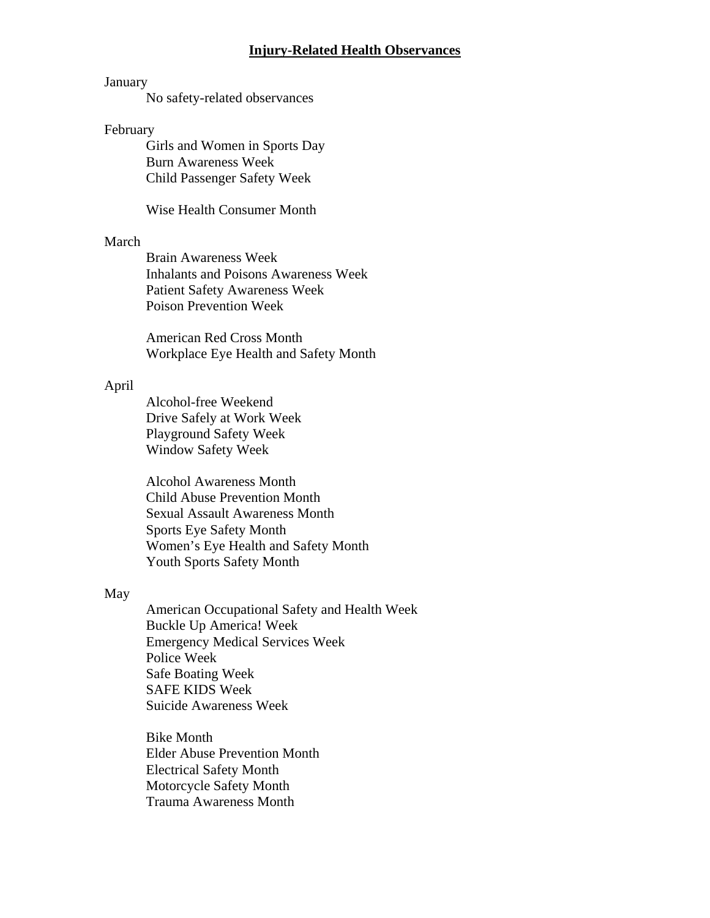### **Injury-Related Health Observances**

## January

No safety-related observances

### February

 Girls and Women in Sports Day Burn Awareness Week Child Passenger Safety Week

Wise Health Consumer Month

### March

 Brain Awareness Week Inhalants and Poisons Awareness Week Patient Safety Awareness Week Poison Prevention Week

American Red Cross Month Workplace Eye Health and Safety Month

## April

 Alcohol-free Weekend Drive Safely at Work Week Playground Safety Week Window Safety Week

 Alcohol Awareness Month Child Abuse Prevention Month Sexual Assault Awareness Month Sports Eye Safety Month Women's Eye Health and Safety Month Youth Sports Safety Month

### May

 American Occupational Safety and Health Week Buckle Up America! Week Emergency Medical Services Week Police Week Safe Boating Week SAFE KIDS Week Suicide Awareness Week

 Bike Month Elder Abuse Prevention Month Electrical Safety Month Motorcycle Safety Month Trauma Awareness Month